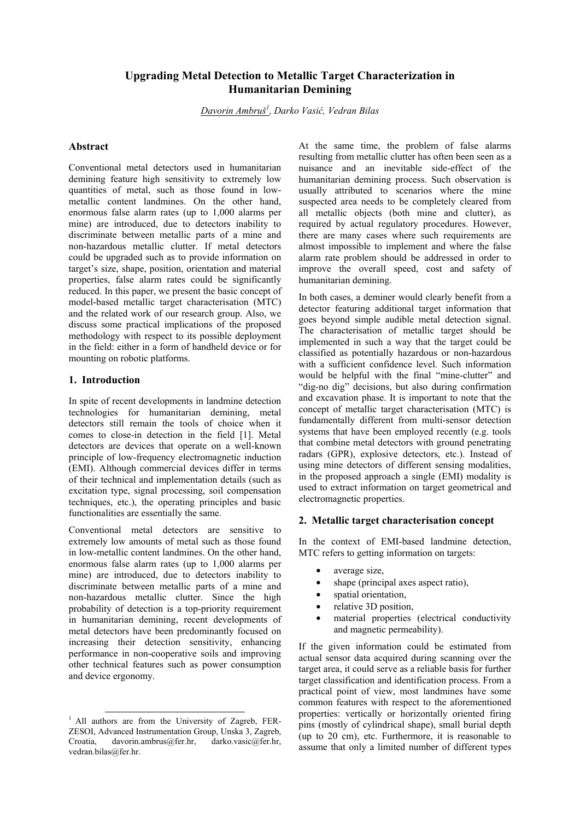# **Upgrading Metal Detection to Metallic Target Characterization in Humanitarian Demining**

*Davorin Ambruš<sup>1</sup> , Darko Vasić, Vedran Bilas* 

## **Abstract**

Conventional metal detectors used in humanitarian demining feature high sensitivity to extremely low quantities of metal, such as those found in lowmetallic content landmines. On the other hand, enormous false alarm rates (up to 1,000 alarms per mine) are introduced, due to detectors inability to discriminate between metallic parts of a mine and non-hazardous metallic clutter. If metal detectors could be upgraded such as to provide information on target's size, shape, position, orientation and material properties, false alarm rates could be significantly reduced. In this paper, we present the basic concept of model-based metallic target characterisation (MTC) and the related work of our research group. Also, we discuss some practical implications of the proposed methodology with respect to its possible deployment in the field: either in a form of handheld device or for mounting on robotic platforms.

## **1. Introduction**

In spite of recent developments in landmine detection technologies for humanitarian demining, metal detectors still remain the tools of choice when it comes to close-in detection in the field [1]. Metal detectors are devices that operate on a well-known principle of low-frequency electromagnetic induction (EMI). Although commercial devices differ in terms of their technical and implementation details (such as excitation type, signal processing, soil compensation techniques, etc.), the operating principles and basic functionalities are essentially the same.

Conventional metal detectors are sensitive to extremely low amounts of metal such as those found in low-metallic content landmines. On the other hand, enormous false alarm rates (up to 1,000 alarms per mine) are introduced, due to detectors inability to discriminate between metallic parts of a mine and non-hazardous metallic clutter. Since the high probability of detection is a top-priority requirement in humanitarian demining, recent developments of metal detectors have been predominantly focused on increasing their detection sensitivity, enhancing performance in non-cooperative soils and improving other technical features such as power consumption and device ergonomy.

At the same time, the problem of false alarms resulting from metallic clutter has often been seen as a nuisance and an inevitable side-effect of the humanitarian demining process. Such observation is usually attributed to scenarios where the mine suspected area needs to be completely cleared from all metallic objects (both mine and clutter), as required by actual regulatory procedures. However, there are many cases where such requirements are almost impossible to implement and where the false alarm rate problem should be addressed in order to improve the overall speed, cost and safety of humanitarian demining.

In both cases, a deminer would clearly benefit from a detector featuring additional target information that goes beyond simple audible metal detection signal. The characterisation of metallic target should be implemented in such a way that the target could be classified as potentially hazardous or non-hazardous with a sufficient confidence level. Such information would be helpful with the final "mine-clutter" and "dig-no dig" decisions, but also during confirmation and excavation phase. It is important to note that the concept of metallic target characterisation (MTC) is fundamentally different from multi-sensor detection systems that have been employed recently (e.g. tools that combine metal detectors with ground penetrating radars (GPR), explosive detectors, etc.). Instead of using mine detectors of different sensing modalities, in the proposed approach a single (EMI) modality is used to extract information on target geometrical and electromagnetic properties.

## **2. Metallic target characterisation concept**

In the context of EMI-based landmine detection, MTC refers to getting information on targets:

- average size,
- shape (principal axes aspect ratio),
- spatial orientation,
- relative 3D position,
- material properties (electrical conductivity and magnetic permeability).

If the given information could be estimated from actual sensor data acquired during scanning over the target area, it could serve as a reliable basis for further target classification and identification process. From a practical point of view, most landmines have some common features with respect to the aforementioned properties: vertically or horizontally oriented firing pins (mostly of cylindrical shape), small burial depth (up to 20 cm), etc. Furthermore, it is reasonable to assume that only a limited number of different types

<sup>&</sup>lt;sup>1</sup> All authors are from the University of Zagreb, FER-ZESOI, Advanced Instrumentation Group, Unska 3, Zagreb, Croatia, davorin.ambrus@fer.hr, darko.vasic@fer.hr, vedran.bilas@fer.hr.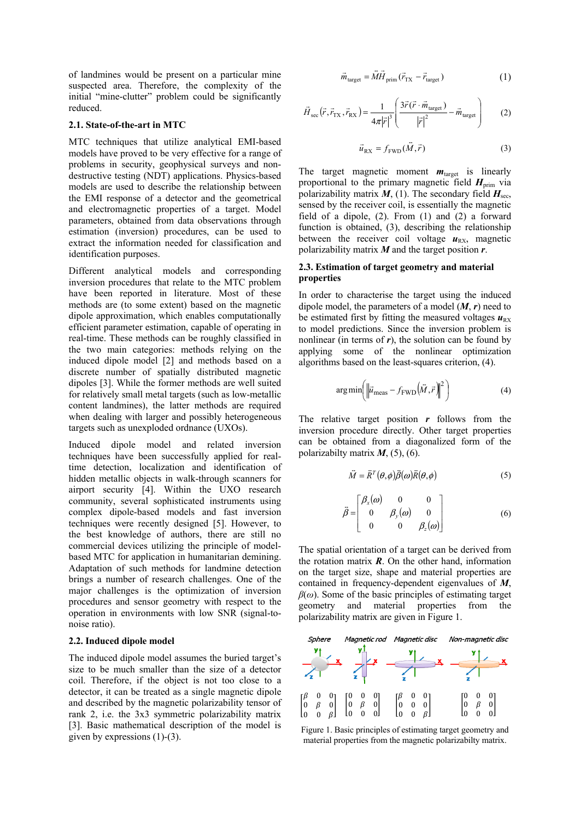of landmines would be present on a particular mine suspected area. Therefore, the complexity of the initial "mine-clutter" problem could be significantly reduced.

#### **2.1. State-of-the-art in MTC**

MTC techniques that utilize analytical EMI-based models have proved to be very effective for a range of problems in security, geophysical surveys and nondestructive testing (NDT) applications. Physics-based models are used to describe the relationship between the EMI response of a detector and the geometrical and electromagnetic properties of a target. Model parameters, obtained from data observations through estimation (inversion) procedures, can be used to extract the information needed for classification and identification purposes.

Different analytical models and corresponding inversion procedures that relate to the MTC problem have been reported in literature. Most of these methods are (to some extent) based on the magnetic dipole approximation, which enables computationally efficient parameter estimation, capable of operating in real-time. These methods can be roughly classified in the two main categories: methods relying on the induced dipole model [2] and methods based on a discrete number of spatially distributed magnetic dipoles [3]. While the former methods are well suited for relatively small metal targets (such as low-metallic content landmines), the latter methods are required when dealing with larger and possibly heterogeneous targets such as unexploded ordnance (UXOs).

Induced dipole model and related inversion techniques have been successfully applied for realtime detection, localization and identification of hidden metallic objects in walk-through scanners for airport security [4]. Within the UXO research community, several sophisticated instruments using complex dipole-based models and fast inversion techniques were recently designed [5]. However, to the best knowledge of authors, there are still no commercial devices utilizing the principle of modelbased MTC for application in humanitarian demining. Adaptation of such methods for landmine detection brings a number of research challenges. One of the major challenges is the optimization of inversion procedures and sensor geometry with respect to the operation in environments with low SNR (signal-tonoise ratio).

#### **2.2. Induced dipole model**

The induced dipole model assumes the buried target's size to be much smaller than the size of a detector coil. Therefore, if the object is not too close to a detector, it can be treated as a single magnetic dipole and described by the magnetic polarizability tensor of rank 2, i.e. the 3x3 symmetric polarizability matrix [3]. Basic mathematical description of the model is given by expressions (1)-(3).

$$
\vec{m}_{\text{target}} = \vec{M}\vec{H}_{\text{prim}}(\vec{r}_{\text{TX}} - \vec{r}_{\text{target}})
$$
\n(1)

$$
\vec{H}_{\text{sec}}(\vec{r}, \vec{r}_{\text{TX}}, \vec{r}_{\text{RX}}) = \frac{1}{4\pi |\vec{r}|^3} \left( \frac{3\vec{r}(\vec{r} \cdot \vec{m}_{\text{target}})}{|\vec{r}|^2} - \vec{m}_{\text{target}} \right)
$$
(2)

$$
\vec{u}_{\text{RX}} = f_{\text{FWD}}(\vec{M}, \vec{r}) \tag{3}
$$

The target magnetic moment  $m_{\text{target}}$  is linearly proportional to the primary magnetic field  $H_{\text{prim}}$  via polarizability matrix  $M$ , (1). The secondary field  $H_{\text{sec}}$ , sensed by the receiver coil, is essentially the magnetic field of a dipole, (2). From (1) and (2) a forward function is obtained, (3), describing the relationship between the receiver coil voltage  $u_{RX}$ , magnetic polarizability matrix *M* and the target position *r*.

#### **2.3. Estimation of target geometry and material properties**

In order to characterise the target using the induced dipole model, the parameters of a model (*M*, *r*) need to be estimated first by fitting the measured voltages  $u_{\text{RX}}$ to model predictions. Since the inversion problem is nonlinear (in terms of  $r$ ), the solution can be found by applying some of the nonlinear optimization algorithms based on the least-squares criterion, (4).

$$
\arg\min\left(\left\|\vec{u}_{\text{meas}} - f_{\text{FWD}}\left(\vec{M}, \vec{r}\right)\right\|^2\right) \tag{4}
$$

The relative target position *r* follows from the inversion procedure directly. Other target properties can be obtained from a diagonalized form of the polarizabilty matrix *M*, (5), (6).

$$
\vec{M} = \vec{R}^T(\theta, \phi)\vec{\beta}(\omega)\vec{R}(\theta, \phi) \tag{5}
$$

$$
\vec{\beta} = \begin{bmatrix} \beta_x(\omega) & 0 & 0 \\ 0 & \beta_y(\omega) & 0 \\ 0 & 0 & \beta_z(\omega) \end{bmatrix}
$$
 (6)

The spatial orientation of a target can be derived from the rotation matrix  $\vec{R}$ . On the other hand, information on the target size, shape and material properties are contained in frequency-dependent eigenvalues of *M*, *β*(*ω*). Some of the basic principles of estimating target geometry and material properties from the polarizability matrix are given in Figure 1.



Figure 1. Basic principles of estimating target geometry and material properties from the magnetic polarizabilty matrix.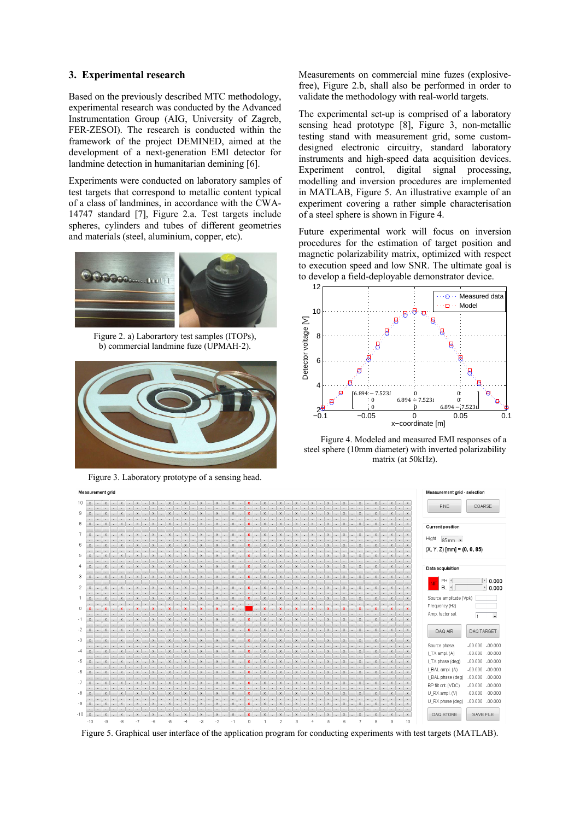#### **3. Experimental research**

Based on the previously described MTC methodology, experimental research was conducted by the Advanced Instrumentation Group (AIG, University of Zagreb, FER-ZESOI). The research is conducted within the framework of the project DEMINED, aimed at the development of a next-generation EMI detector for landmine detection in humanitarian demining [6].

Experiments were conducted on laboratory samples of test targets that correspond to metallic content typical of a class of landmines, in accordance with the CWA-14747 standard [7], Figure 2.a. Test targets include spheres, cylinders and tubes of different geometries and materials (steel, aluminium, copper, etc).



Figure 2. a) Laborartory test samples (ITOPs), b) commercial landmine fuze (UPMAH-2).



Figure 3. Laboratory prototype of a sensing head.

Measurements on commercial mine fuzes (explosivefree), Figure 2.b, shall also be performed in order to validate the methodology with real-world targets.

The experimental set-up is comprised of a laboratory sensing head prototype [8], Figure 3, non-metallic testing stand with measurement grid, some customdesigned electronic circuitry, standard laboratory instruments and high-speed data acquisition devices. Experiment control, digital signal processing, modelling and inversion procedures are implemented in MATLAB, Figure 5. An illustrative example of an experiment covering a rather simple characterisation of a steel sphere is shown in Figure 4.

Future experimental work will focus on inversion procedures for the estimation of target position and magnetic polarizability matrix, optimized with respect to execution speed and low SNR. The ultimate goal is to develop a field-deployable demonstrator device.



Figure 4. Modeled and measured EMI responses of a steel sphere (10mm diameter) with inverted polarizability matrix (at 50kHz).



Figure 5. Graphical user interface of the application program for conducting experiments with test targets (MATLAB).